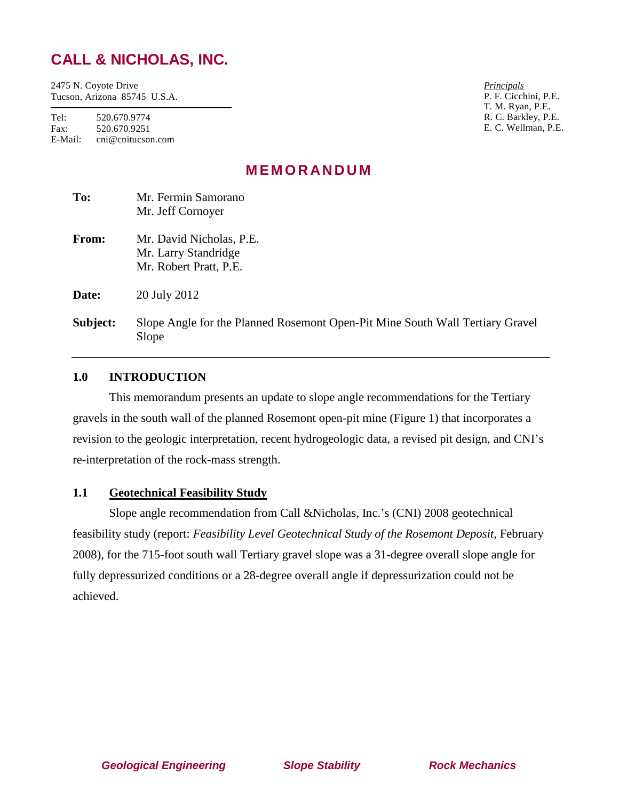# **CALL & NICHOLAS, INC.**

2475 N. Coyote Drive Tucson, Arizona 85745 U.S.A.

Tel: 520.670.9774 Fax: 520.670.9251 E-Mail: cni@cnitucson.com

*Principals* P. F. Cicchini, P.E. T. M. Ryan, P.E. R. C. Barkley, P.E. E. C. Wellman, P.E.

# **MEMORANDUM**

| To:      | Mr. Fermin Samorano<br>Mr. Jeff Cornoyer                                               |
|----------|----------------------------------------------------------------------------------------|
| From:    | Mr. David Nicholas, P.E.<br>Mr. Larry Standridge<br>Mr. Robert Pratt, P.E.             |
| Date:    | 20 July 2012                                                                           |
| Subject: | Slope Angle for the Planned Rosemont Open-Pit Mine South Wall Tertiary Gravel<br>Slope |

## **1.0 INTRODUCTION**

This memorandum presents an update to slope angle recommendations for the Tertiary gravels in the south wall of the planned Rosemont open-pit mine (Figure 1) that incorporates a revision to the geologic interpretation, recent hydrogeologic data, a revised pit design, and CNI's re-interpretation of the rock-mass strength.

### **1.1 Geotechnical Feasibility Study**

Slope angle recommendation from Call &Nicholas, Inc.'s (CNI) 2008 geotechnical feasibility study (report: *Feasibility Level Geotechnical Study of the Rosemont Deposit,* February 2008), for the 715-foot south wall Tertiary gravel slope was a 31-degree overall slope angle for fully depressurized conditions or a 28-degree overall angle if depressurization could not be achieved.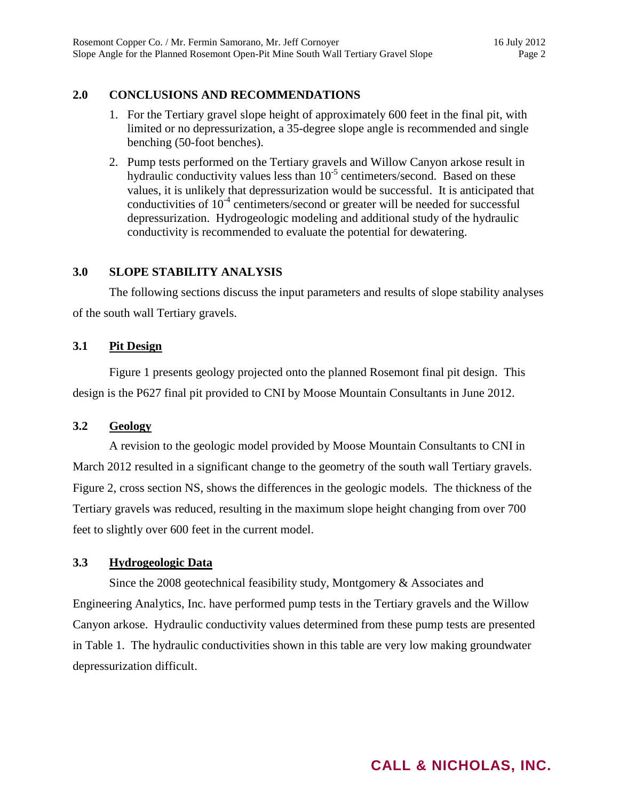## **2.0 CONCLUSIONS AND RECOMMENDATIONS**

- 1. For the Tertiary gravel slope height of approximately 600 feet in the final pit, with limited or no depressurization, a 35-degree slope angle is recommended and single benching (50-foot benches).
- 2. Pump tests performed on the Tertiary gravels and Willow Canyon arkose result in hydraulic conductivity values less than  $10^{-5}$  centimeters/second. Based on these values, it is unlikely that depressurization would be successful. It is anticipated that conductivities of  $10^{-4}$  centimeters/second or greater will be needed for successful depressurization. Hydrogeologic modeling and additional study of the hydraulic conductivity is recommended to evaluate the potential for dewatering.

## **3.0 SLOPE STABILITY ANALYSIS**

The following sections discuss the input parameters and results of slope stability analyses of the south wall Tertiary gravels.

### **3.1 Pit Design**

Figure 1 presents geology projected onto the planned Rosemont final pit design. This design is the P627 final pit provided to CNI by Moose Mountain Consultants in June 2012.

### **3.2 Geology**

A revision to the geologic model provided by Moose Mountain Consultants to CNI in March 2012 resulted in a significant change to the geometry of the south wall Tertiary gravels. Figure 2, cross section NS, shows the differences in the geologic models. The thickness of the Tertiary gravels was reduced, resulting in the maximum slope height changing from over 700 feet to slightly over 600 feet in the current model.

### **3.3 Hydrogeologic Data**

Since the 2008 geotechnical feasibility study, Montgomery & Associates and Engineering Analytics, Inc. have performed pump tests in the Tertiary gravels and the Willow Canyon arkose. Hydraulic conductivity values determined from these pump tests are presented in Table 1. The hydraulic conductivities shown in this table are very low making groundwater depressurization difficult.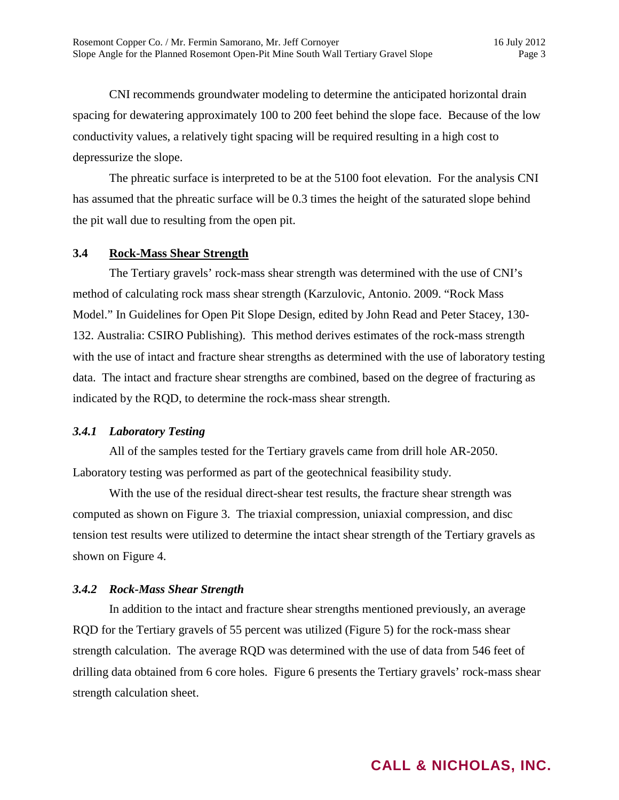CNI recommends groundwater modeling to determine the anticipated horizontal drain spacing for dewatering approximately 100 to 200 feet behind the slope face. Because of the low conductivity values, a relatively tight spacing will be required resulting in a high cost to depressurize the slope.

The phreatic surface is interpreted to be at the 5100 foot elevation. For the analysis CNI has assumed that the phreatic surface will be 0.3 times the height of the saturated slope behind the pit wall due to resulting from the open pit.

#### **3.4 Rock-Mass Shear Strength**

The Tertiary gravels' rock-mass shear strength was determined with the use of CNI's method of calculating rock mass shear strength (Karzulovic, Antonio. 2009. "Rock Mass Model." In Guidelines for Open Pit Slope Design, edited by John Read and Peter Stacey, 130- 132. Australia: CSIRO Publishing). This method derives estimates of the rock-mass strength with the use of intact and fracture shear strengths as determined with the use of laboratory testing data. The intact and fracture shear strengths are combined, based on the degree of fracturing as indicated by the RQD, to determine the rock-mass shear strength.

### *3.4.1 Laboratory Testing*

All of the samples tested for the Tertiary gravels came from drill hole AR-2050. Laboratory testing was performed as part of the geotechnical feasibility study.

With the use of the residual direct-shear test results, the fracture shear strength was computed as shown on Figure 3. The triaxial compression, uniaxial compression, and disc tension test results were utilized to determine the intact shear strength of the Tertiary gravels as shown on Figure 4.

### *3.4.2 Rock-Mass Shear Strength*

In addition to the intact and fracture shear strengths mentioned previously, an average RQD for the Tertiary gravels of 55 percent was utilized (Figure 5) for the rock-mass shear strength calculation. The average RQD was determined with the use of data from 546 feet of drilling data obtained from 6 core holes. Figure 6 presents the Tertiary gravels' rock-mass shear strength calculation sheet.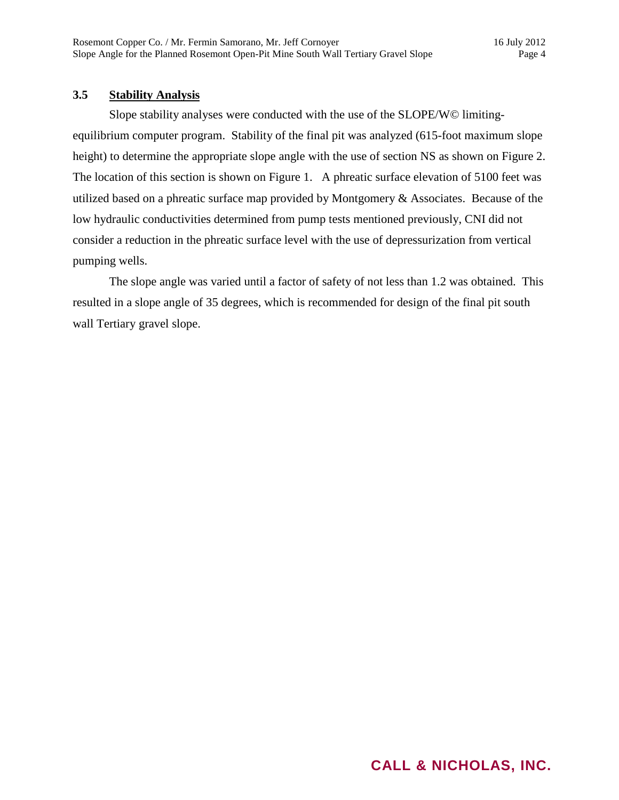### **3.5 Stability Analysis**

Slope stability analyses were conducted with the use of the SLOPE/W© limitingequilibrium computer program. Stability of the final pit was analyzed (615-foot maximum slope height) to determine the appropriate slope angle with the use of section NS as shown on Figure 2. The location of this section is shown on Figure 1. A phreatic surface elevation of 5100 feet was utilized based on a phreatic surface map provided by Montgomery & Associates. Because of the low hydraulic conductivities determined from pump tests mentioned previously, CNI did not consider a reduction in the phreatic surface level with the use of depressurization from vertical pumping wells.

The slope angle was varied until a factor of safety of not less than 1.2 was obtained. This resulted in a slope angle of 35 degrees, which is recommended for design of the final pit south wall Tertiary gravel slope.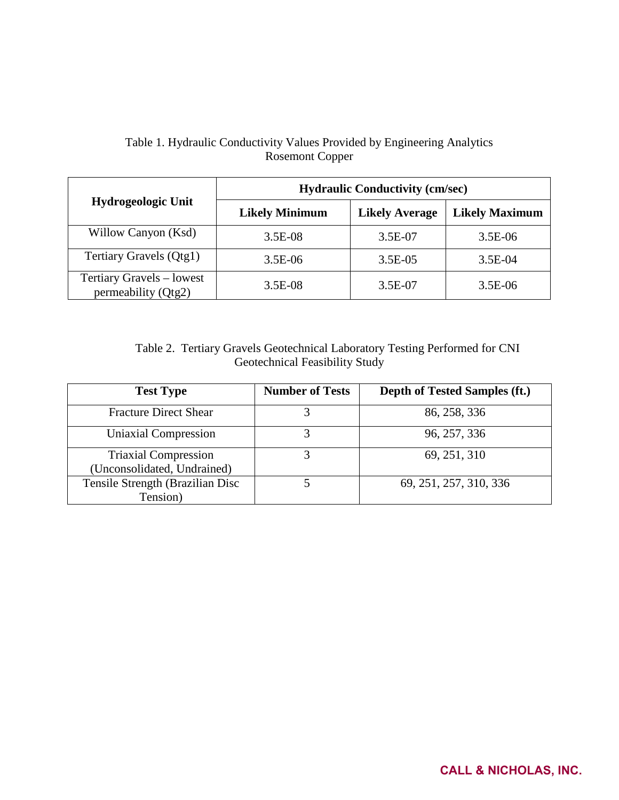## Table 1. Hydraulic Conductivity Values Provided by Engineering Analytics Rosemont Copper

|                                                  | <b>Hydraulic Conductivity (cm/sec)</b> |                       |                       |  |  |
|--------------------------------------------------|----------------------------------------|-----------------------|-----------------------|--|--|
| <b>Hydrogeologic Unit</b>                        | <b>Likely Minimum</b>                  | <b>Likely Average</b> | <b>Likely Maximum</b> |  |  |
| Willow Canyon (Ksd)                              | 3.5E-08                                | 3.5E-07               | $3.5E-06$             |  |  |
| Tertiary Gravels (Qtg1)                          | $3.5E-06$                              | 3.5E-05               | $3.5E-04$             |  |  |
| Tertiary Gravels – lowest<br>permeability (Qtg2) | $3.5E-08$                              | 3.5E-07               | $3.5E-06$             |  |  |

Table 2. Tertiary Gravels Geotechnical Laboratory Testing Performed for CNI Geotechnical Feasibility Study

| <b>Test Type</b>                                           | <b>Number of Tests</b> | Depth of Tested Samples (ft.) |
|------------------------------------------------------------|------------------------|-------------------------------|
| <b>Fracture Direct Shear</b>                               |                        | 86, 258, 336                  |
| Uniaxial Compression                                       |                        | 96, 257, 336                  |
| <b>Triaxial Compression</b><br>(Unconsolidated, Undrained) |                        | 69, 251, 310                  |
| Tensile Strength (Brazilian Disc<br>Tension)               |                        | 69, 251, 257, 310, 336        |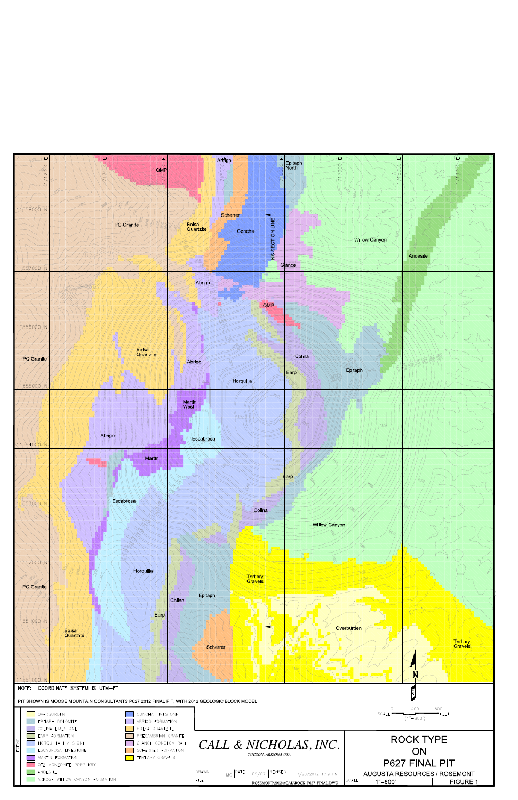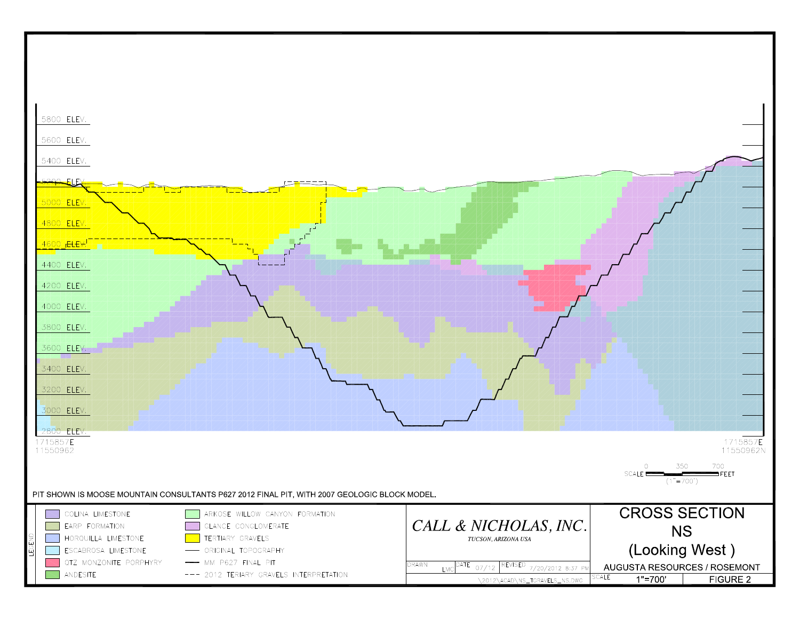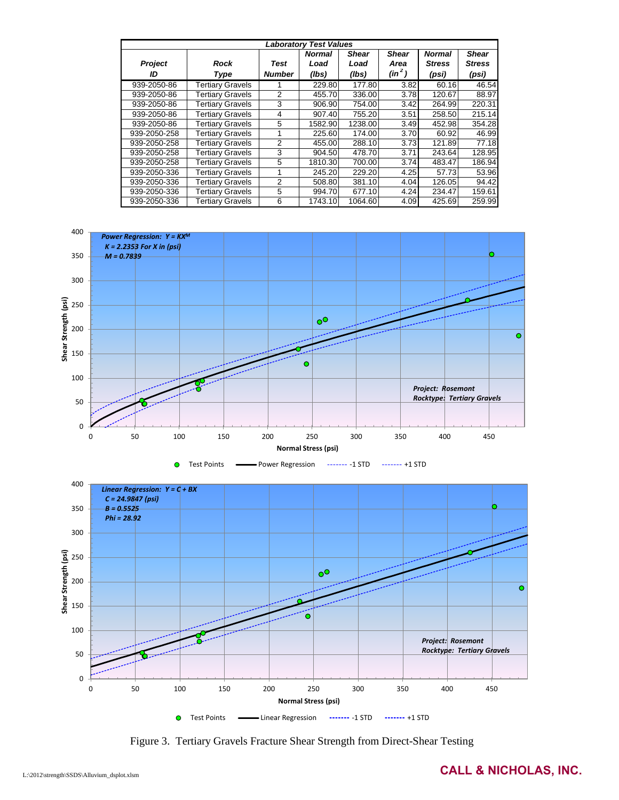| <b>Laboratory Test Values</b> |                         |                |               |              |              |               |               |
|-------------------------------|-------------------------|----------------|---------------|--------------|--------------|---------------|---------------|
|                               |                         |                | <b>Normal</b> | <b>Shear</b> | <b>Shear</b> | <b>Normal</b> | <b>Shear</b>  |
| Project                       | Rock                    | Test           | Load          | Load         | Area         | <b>Stress</b> | <b>Stress</b> |
| ID                            | Type                    | <b>Number</b>  | (lbs)         | (lbs)        | $(in^2)$     | (psi)         | (psi)         |
| 939-2050-86                   | <b>Tertiary Gravels</b> |                | 229.80        | 177.80       | 3.82         | 60.16         | 46.54         |
| 939-2050-86                   | <b>Tertiary Gravels</b> | $\overline{2}$ | 455.70        | 336.00       | 3.78         | 120.67        | 88.97         |
| 939-2050-86                   | <b>Tertiary Gravels</b> | 3              | 906.90        | 754.00       | 3.42         | 264.99        | 220.31        |
| 939-2050-86                   | <b>Tertiary Gravels</b> | 4              | 907.40        | 755.20       | 3.51         | 258.50        | 215.14        |
| 939-2050-86                   | <b>Tertiary Gravels</b> | 5              | 1582.90       | 1238.00      | 3.49         | 452.98        | 354.28        |
| 939-2050-258                  | <b>Tertiary Gravels</b> |                | 225.60        | 174.00       | 3.70         | 60.92         | 46.99         |
| 939-2050-258                  | <b>Tertiary Gravels</b> | 2              | 455.00        | 288.10       | 3.73         | 121.89        | 77.18         |
| 939-2050-258                  | <b>Tertiary Gravels</b> | 3              | 904.50        | 478.70       | 3.71         | 243.64        | 128.95        |
| 939-2050-258                  | <b>Tertiary Gravels</b> | 5              | 1810.30       | 700.00       | 3.74         | 483.47        | 186.94        |
| 939-2050-336                  | <b>Tertiary Gravels</b> |                | 245.20        | 229.20       | 4.25         | 57.73         | 53.96         |
| 939-2050-336                  | <b>Tertiary Gravels</b> | 2              | 508.80        | 381.10       | 4.04         | 126.05        | 94.42         |
| 939-2050-336                  | <b>Tertiary Gravels</b> | 5              | 994.70        | 677.10       | 4.24         | 234.47        | 159.61        |
| 939-2050-336                  | <b>Tertiary Gravels</b> | 6              | 1743.10       | 1064.60      | 4.09         | 425.69        | 259.99        |



Figure 3. Tertiary Gravels Fracture Shear Strength from Direct-Shear Testing

0 50 100 150 200 250 300 350 400 450

**Normal Stress (psi)** Test Points **-**Linear Regression ------- -1 STD ------- +1 STD

 $\bullet$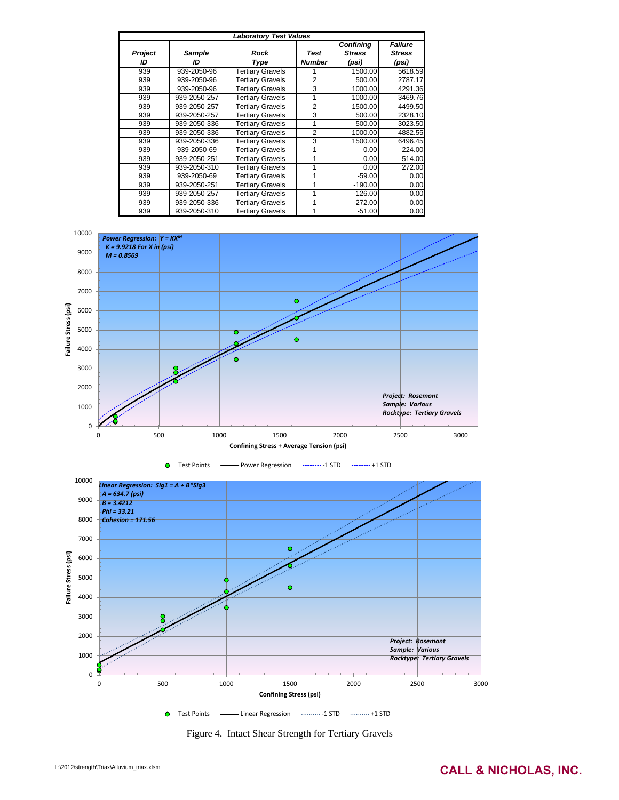|         | <b>Laboratory Test Values</b> |                         |                |                                   |                                 |  |  |  |  |
|---------|-------------------------------|-------------------------|----------------|-----------------------------------|---------------------------------|--|--|--|--|
| Project | <b>Sample</b><br>ID           | <b>Rock</b>             | Test           | <b>Confining</b><br><b>Stress</b> | <b>Failure</b><br><b>Stress</b> |  |  |  |  |
| ID      |                               | <b>Type</b>             | <b>Number</b>  | (psi)                             | (psi)                           |  |  |  |  |
| 939     | 939-2050-96                   | <b>Tertiary Gravels</b> | 1              | 1500.00                           | 5618.59                         |  |  |  |  |
| 939     | 939-2050-96                   | <b>Tertiary Gravels</b> | $\overline{2}$ | 500.00                            | 2787.17                         |  |  |  |  |
| 939     | 939-2050-96                   | <b>Tertiary Gravels</b> | 3              | 1000.00                           | 4291.36                         |  |  |  |  |
| 939     | 939-2050-257                  | <b>Tertiary Gravels</b> | 1              | 1000.00                           | 3469.76                         |  |  |  |  |
| 939     | 939-2050-257                  | <b>Tertiary Gravels</b> | $\overline{2}$ | 1500.00                           | 4499.50                         |  |  |  |  |
| 939     | 939-2050-257                  | <b>Tertiary Gravels</b> | 3              | 500.00                            | 2328.10                         |  |  |  |  |
| 939     | 939-2050-336                  | <b>Tertiary Gravels</b> | 1              | 500.00                            | 3023.50                         |  |  |  |  |
| 939     | 939-2050-336                  | <b>Tertiary Gravels</b> | $\overline{2}$ | 1000.00                           | 4882.55                         |  |  |  |  |
| 939     | 939-2050-336                  | <b>Tertiary Gravels</b> | 3              | 1500.00                           | 6496.45                         |  |  |  |  |
| 939     | 939-2050-69                   | <b>Tertiary Gravels</b> | 1              | 0.00                              | 224.00                          |  |  |  |  |
| 939     | 939-2050-251                  | <b>Tertiary Gravels</b> | 1              | 0.00                              | 514.00                          |  |  |  |  |
| 939     | 939-2050-310                  | <b>Tertiary Gravels</b> | 1              | 0.00                              | 272.00                          |  |  |  |  |
| 939     | 939-2050-69                   | <b>Tertiary Gravels</b> | 1              | $-59.00$                          | 0.00                            |  |  |  |  |
| 939     | 939-2050-251                  | <b>Tertiary Gravels</b> | 1              | $-190.00$                         | 0.00                            |  |  |  |  |
| 939     | 939-2050-257                  | <b>Tertiary Gravels</b> | 1              | $-126.00$                         | 0.00                            |  |  |  |  |
| 939     | 939-2050-336                  | <b>Tertiary Gravels</b> | 1              | $-272.00$                         | 0.00                            |  |  |  |  |
| 939     | 939-2050-310                  | <b>Tertiary Gravels</b> | 1              | $-51.00$                          | 0.00                            |  |  |  |  |

![](_page_8_Figure_1.jpeg)

![](_page_8_Figure_2.jpeg)

![](_page_8_Figure_3.jpeg)

Figure 4. Intact Shear Strength for Tertiary Gravels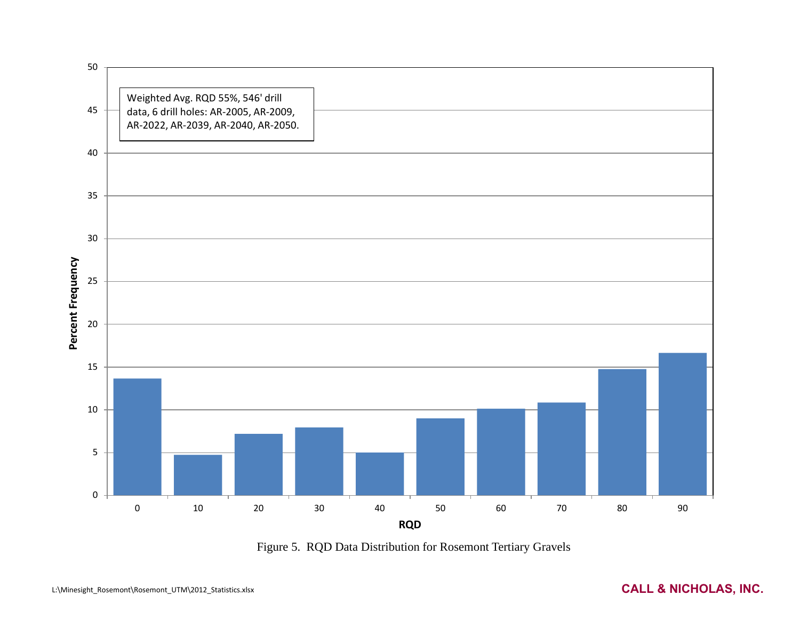![](_page_9_Figure_0.jpeg)

Figure 5. RQD Data Distribution for Rosemont Tertiary Gravels